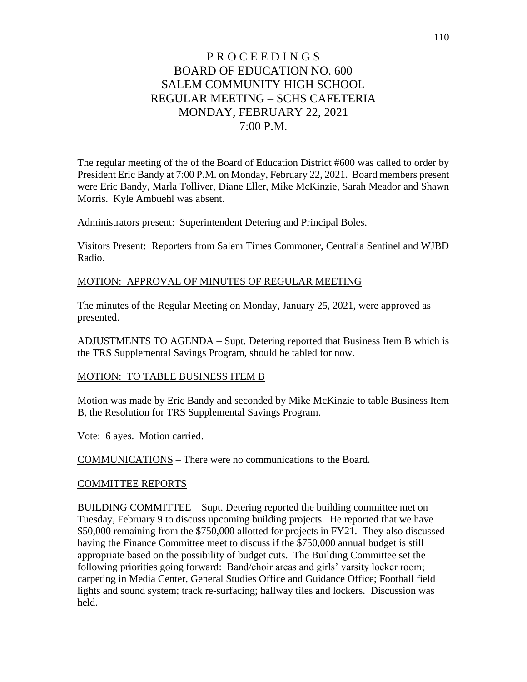The regular meeting of the of the Board of Education District #600 was called to order by President Eric Bandy at 7:00 P.M. on Monday, February 22, 2021. Board members present were Eric Bandy, Marla Tolliver, Diane Eller, Mike McKinzie, Sarah Meador and Shawn Morris. Kyle Ambuehl was absent.

Administrators present: Superintendent Detering and Principal Boles.

Visitors Present: Reporters from Salem Times Commoner, Centralia Sentinel and WJBD Radio.

# MOTION: APPROVAL OF MINUTES OF REGULAR MEETING

The minutes of the Regular Meeting on Monday, January 25, 2021, were approved as presented.

ADJUSTMENTS TO AGENDA – Supt. Detering reported that Business Item B which is the TRS Supplemental Savings Program, should be tabled for now.

## MOTION: TO TABLE BUSINESS ITEM B

Motion was made by Eric Bandy and seconded by Mike McKinzie to table Business Item B, the Resolution for TRS Supplemental Savings Program.

Vote: 6 ayes. Motion carried.

COMMUNICATIONS – There were no communications to the Board.

## COMMITTEE REPORTS

BUILDING COMMITTEE – Supt. Detering reported the building committee met on Tuesday, February 9 to discuss upcoming building projects. He reported that we have \$50,000 remaining from the \$750,000 allotted for projects in FY21. They also discussed having the Finance Committee meet to discuss if the \$750,000 annual budget is still appropriate based on the possibility of budget cuts. The Building Committee set the following priorities going forward: Band/choir areas and girls' varsity locker room; carpeting in Media Center, General Studies Office and Guidance Office; Football field lights and sound system; track re-surfacing; hallway tiles and lockers. Discussion was held.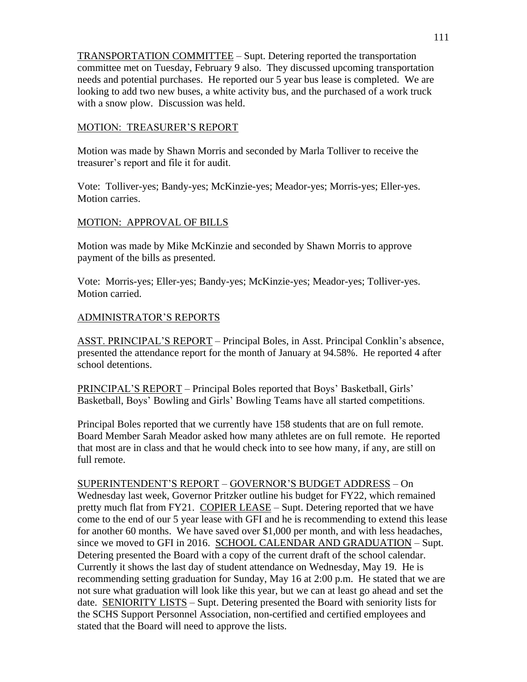TRANSPORTATION COMMITTEE – Supt. Detering reported the transportation committee met on Tuesday, February 9 also. They discussed upcoming transportation needs and potential purchases. He reported our 5 year bus lease is completed. We are looking to add two new buses, a white activity bus, and the purchased of a work truck with a snow plow. Discussion was held.

## MOTION: TREASURER'S REPORT

Motion was made by Shawn Morris and seconded by Marla Tolliver to receive the treasurer's report and file it for audit.

Vote: Tolliver-yes; Bandy-yes; McKinzie-yes; Meador-yes; Morris-yes; Eller-yes. Motion carries.

# MOTION: APPROVAL OF BILLS

Motion was made by Mike McKinzie and seconded by Shawn Morris to approve payment of the bills as presented.

Vote: Morris-yes; Eller-yes; Bandy-yes; McKinzie-yes; Meador-yes; Tolliver-yes. Motion carried.

## ADMINISTRATOR'S REPORTS

ASST. PRINCIPAL'S REPORT – Principal Boles, in Asst. Principal Conklin's absence, presented the attendance report for the month of January at 94.58%. He reported 4 after school detentions.

PRINCIPAL'S REPORT – Principal Boles reported that Boys' Basketball, Girls' Basketball, Boys' Bowling and Girls' Bowling Teams have all started competitions.

Principal Boles reported that we currently have 158 students that are on full remote. Board Member Sarah Meador asked how many athletes are on full remote. He reported that most are in class and that he would check into to see how many, if any, are still on full remote.

SUPERINTENDENT'S REPORT – GOVERNOR'S BUDGET ADDRESS – On Wednesday last week, Governor Pritzker outline his budget for FY22, which remained pretty much flat from FY21. COPIER LEASE – Supt. Detering reported that we have come to the end of our 5 year lease with GFI and he is recommending to extend this lease for another 60 months. We have saved over \$1,000 per month, and with less headaches, since we moved to GFI in 2016. SCHOOL CALENDAR AND GRADUATION – Supt. Detering presented the Board with a copy of the current draft of the school calendar. Currently it shows the last day of student attendance on Wednesday, May 19. He is recommending setting graduation for Sunday, May 16 at 2:00 p.m. He stated that we are not sure what graduation will look like this year, but we can at least go ahead and set the date. SENIORITY LISTS – Supt. Detering presented the Board with seniority lists for the SCHS Support Personnel Association, non-certified and certified employees and stated that the Board will need to approve the lists.